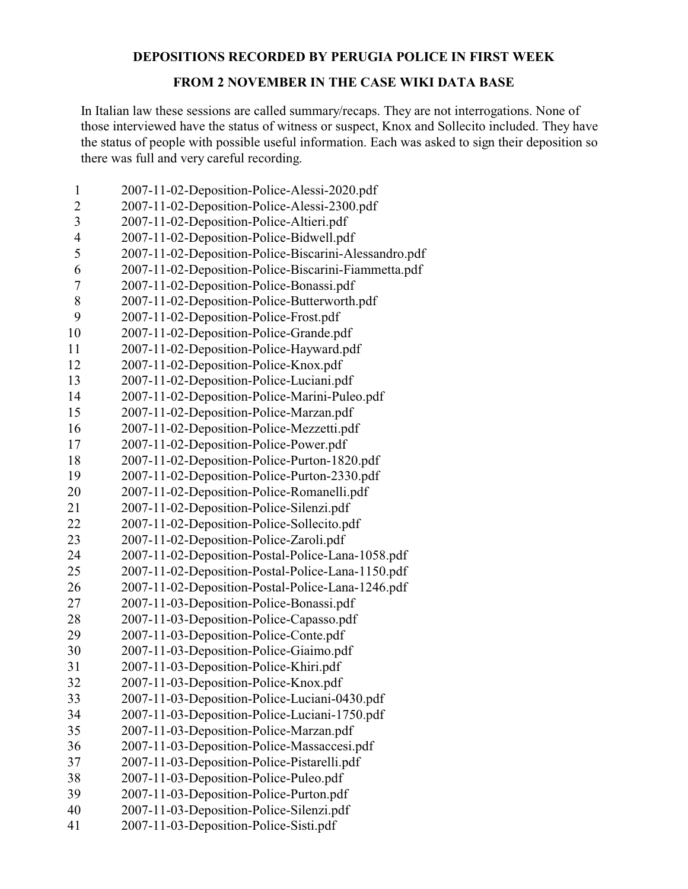## **DEPOSITIONS RECORDED BY PERUGIA POLICE IN FIRST WEEK**

## **FROM 2 NOVEMBER IN THE CASE WIKI DATA BASE**

In Italian law these sessions are called summary/recaps. They are not interrogations. None of those interviewed have the status of witness or suspect, Knox and Sollecito included. They have the status of people with possible useful information. Each was asked to sign their deposition so there was full and very careful recording.

| $\mathbf{1}$   | 2007-11-02-Deposition-Police-Alessi-2020.pdf          |
|----------------|-------------------------------------------------------|
| $\overline{2}$ | 2007-11-02-Deposition-Police-Alessi-2300.pdf          |
| $\overline{3}$ | 2007-11-02-Deposition-Police-Altieri.pdf              |
| $\overline{4}$ | 2007-11-02-Deposition-Police-Bidwell.pdf              |
| 5              | 2007-11-02-Deposition-Police-Biscarini-Alessandro.pdf |
| 6              | 2007-11-02-Deposition-Police-Biscarini-Fiammetta.pdf  |
| 7              | 2007-11-02-Deposition-Police-Bonassi.pdf              |
| 8              | 2007-11-02-Deposition-Police-Butterworth.pdf          |
| 9              | 2007-11-02-Deposition-Police-Frost.pdf                |
| 10             | 2007-11-02-Deposition-Police-Grande.pdf               |
| 11             | 2007-11-02-Deposition-Police-Hayward.pdf              |
| 12             | 2007-11-02-Deposition-Police-Knox.pdf                 |
| 13             | 2007-11-02-Deposition-Police-Luciani.pdf              |
| 14             | 2007-11-02-Deposition-Police-Marini-Puleo.pdf         |
| 15             | 2007-11-02-Deposition-Police-Marzan.pdf               |
| 16             | 2007-11-02-Deposition-Police-Mezzetti.pdf             |
| 17             | 2007-11-02-Deposition-Police-Power.pdf                |
| 18             | 2007-11-02-Deposition-Police-Purton-1820.pdf          |
| 19             | 2007-11-02-Deposition-Police-Purton-2330.pdf          |
| 20             | 2007-11-02-Deposition-Police-Romanelli.pdf            |
| 21             | 2007-11-02-Deposition-Police-Silenzi.pdf              |
| 22             | 2007-11-02-Deposition-Police-Sollecito.pdf            |
| 23             | 2007-11-02-Deposition-Police-Zaroli.pdf               |
| 24             | 2007-11-02-Deposition-Postal-Police-Lana-1058.pdf     |
| 25             | 2007-11-02-Deposition-Postal-Police-Lana-1150.pdf     |
| 26             | 2007-11-02-Deposition-Postal-Police-Lana-1246.pdf     |
| 27             | 2007-11-03-Deposition-Police-Bonassi.pdf              |
| 28             | 2007-11-03-Deposition-Police-Capasso.pdf              |
| 29             | 2007-11-03-Deposition-Police-Conte.pdf                |
| 30             | 2007-11-03-Deposition-Police-Giaimo.pdf               |
| 31             | 2007-11-03-Deposition-Police-Khiri.pdf                |
| 32             | 2007-11-03-Deposition-Police-Knox.pdf                 |
| 33             | 2007-11-03-Deposition-Police-Luciani-0430.pdf         |
| 34             | 2007-11-03-Deposition-Police-Luciani-1750.pdf         |
| 35             | 2007-11-03-Deposition-Police-Marzan.pdf               |
| 36             | 2007-11-03-Deposition-Police-Massaccesi.pdf           |
| 37             | 2007-11-03-Deposition-Police-Pistarelli.pdf           |
| 38             | 2007-11-03-Deposition-Police-Puleo.pdf                |
| 39             | 2007-11-03-Deposition-Police-Purton.pdf               |
| 40             | 2007-11-03-Deposition-Police-Silenzi.pdf              |
| 41             | 2007-11-03-Deposition-Police-Sisti.pdf                |